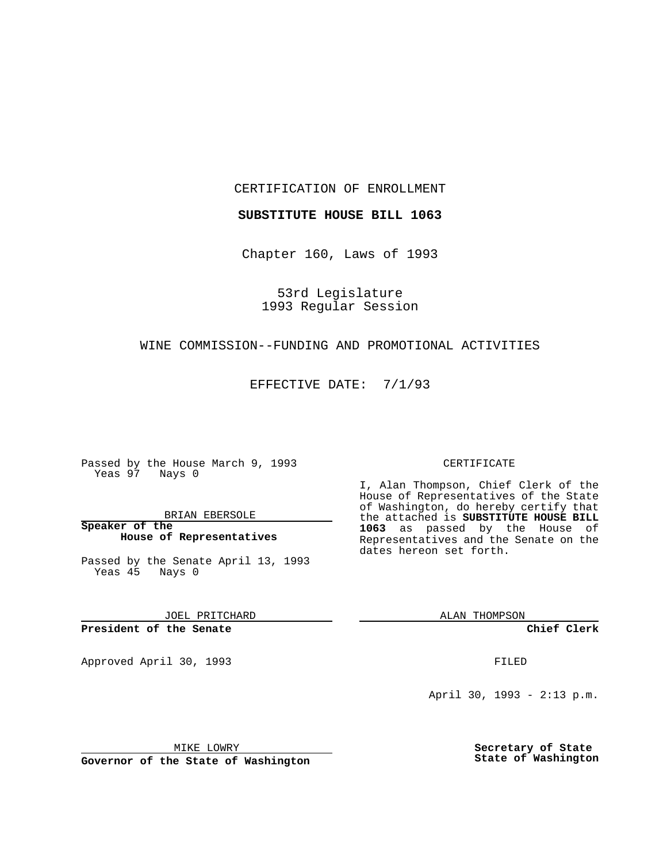CERTIFICATION OF ENROLLMENT

**SUBSTITUTE HOUSE BILL 1063**

Chapter 160, Laws of 1993

53rd Legislature 1993 Regular Session

## WINE COMMISSION--FUNDING AND PROMOTIONAL ACTIVITIES

EFFECTIVE DATE: 7/1/93

Passed by the House March 9, 1993 Yeas 97 Nays 0

BRIAN EBERSOLE

**Speaker of the House of Representatives**

Passed by the Senate April 13, 1993 Yeas 45 Nays 0

JOEL PRITCHARD

**President of the Senate**

Approved April 30, 1993 **FILED** 

## CERTIFICATE

I, Alan Thompson, Chief Clerk of the House of Representatives of the State of Washington, do hereby certify that the attached is **SUBSTITUTE HOUSE BILL 1063** as passed by the House of Representatives and the Senate on the dates hereon set forth.

ALAN THOMPSON

**Chief Clerk**

April 30, 1993 - 2:13 p.m.

MIKE LOWRY

**Governor of the State of Washington**

**Secretary of State State of Washington**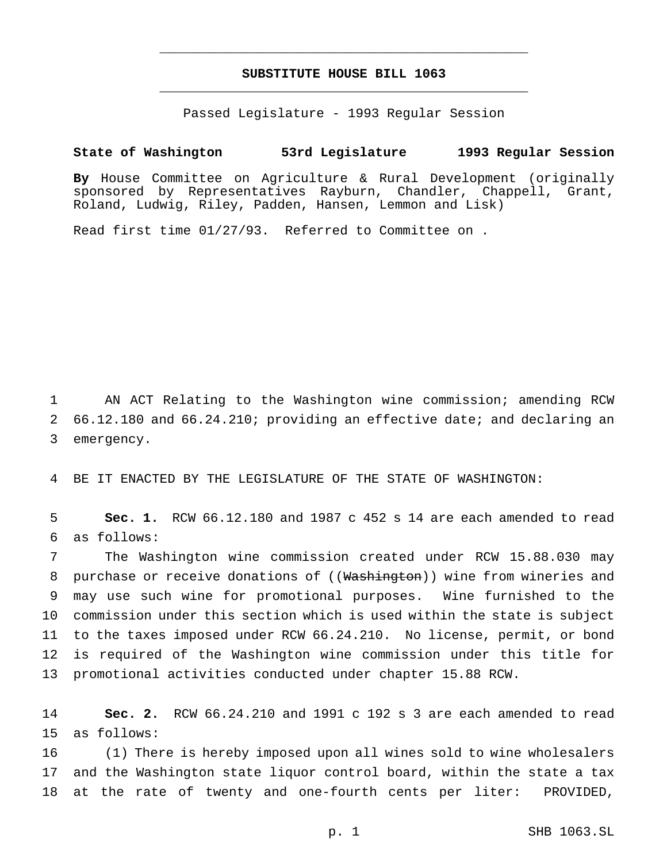## **SUBSTITUTE HOUSE BILL 1063** \_\_\_\_\_\_\_\_\_\_\_\_\_\_\_\_\_\_\_\_\_\_\_\_\_\_\_\_\_\_\_\_\_\_\_\_\_\_\_\_\_\_\_\_\_\_\_

\_\_\_\_\_\_\_\_\_\_\_\_\_\_\_\_\_\_\_\_\_\_\_\_\_\_\_\_\_\_\_\_\_\_\_\_\_\_\_\_\_\_\_\_\_\_\_

Passed Legislature - 1993 Regular Session

## **State of Washington 53rd Legislature 1993 Regular Session**

**By** House Committee on Agriculture & Rural Development (originally sponsored by Representatives Rayburn, Chandler, Chappell, Grant, Roland, Ludwig, Riley, Padden, Hansen, Lemmon and Lisk)

Read first time 01/27/93. Referred to Committee on .

 AN ACT Relating to the Washington wine commission; amending RCW 66.12.180 and 66.24.210; providing an effective date; and declaring an emergency.

BE IT ENACTED BY THE LEGISLATURE OF THE STATE OF WASHINGTON:

 **Sec. 1.** RCW 66.12.180 and 1987 c 452 s 14 are each amended to read as follows:

 The Washington wine commission created under RCW 15.88.030 may 8 purchase or receive donations of ((Washington)) wine from wineries and may use such wine for promotional purposes. Wine furnished to the commission under this section which is used within the state is subject to the taxes imposed under RCW 66.24.210. No license, permit, or bond is required of the Washington wine commission under this title for promotional activities conducted under chapter 15.88 RCW.

 **Sec. 2.** RCW 66.24.210 and 1991 c 192 s 3 are each amended to read as follows:

 (1) There is hereby imposed upon all wines sold to wine wholesalers and the Washington state liquor control board, within the state a tax at the rate of twenty and one-fourth cents per liter: PROVIDED,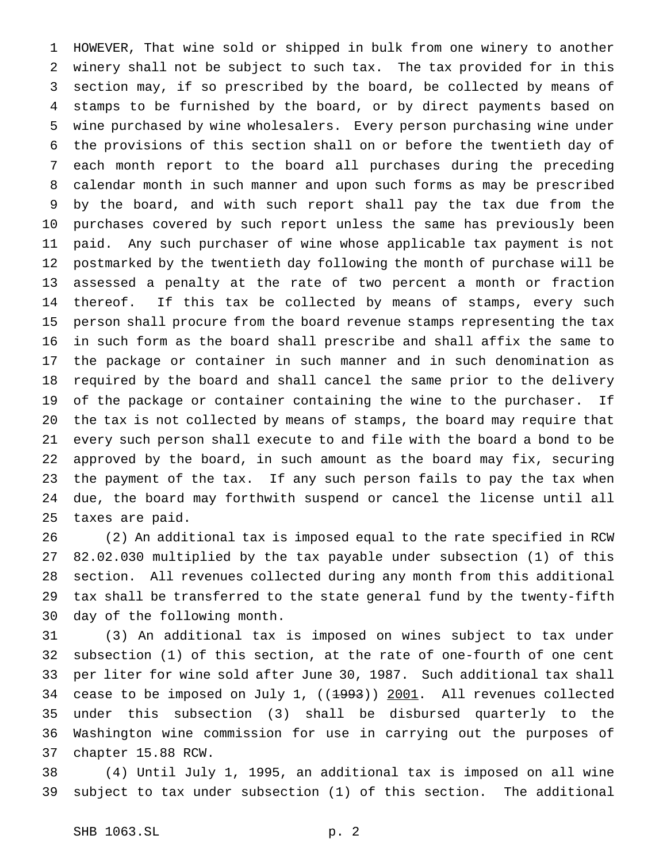HOWEVER, That wine sold or shipped in bulk from one winery to another winery shall not be subject to such tax. The tax provided for in this section may, if so prescribed by the board, be collected by means of stamps to be furnished by the board, or by direct payments based on wine purchased by wine wholesalers. Every person purchasing wine under the provisions of this section shall on or before the twentieth day of each month report to the board all purchases during the preceding calendar month in such manner and upon such forms as may be prescribed by the board, and with such report shall pay the tax due from the purchases covered by such report unless the same has previously been paid. Any such purchaser of wine whose applicable tax payment is not postmarked by the twentieth day following the month of purchase will be assessed a penalty at the rate of two percent a month or fraction 14 thereof. If this tax be collected by means of stamps, every such person shall procure from the board revenue stamps representing the tax in such form as the board shall prescribe and shall affix the same to the package or container in such manner and in such denomination as required by the board and shall cancel the same prior to the delivery of the package or container containing the wine to the purchaser. If the tax is not collected by means of stamps, the board may require that every such person shall execute to and file with the board a bond to be approved by the board, in such amount as the board may fix, securing the payment of the tax. If any such person fails to pay the tax when due, the board may forthwith suspend or cancel the license until all taxes are paid.

 (2) An additional tax is imposed equal to the rate specified in RCW 82.02.030 multiplied by the tax payable under subsection (1) of this section. All revenues collected during any month from this additional tax shall be transferred to the state general fund by the twenty-fifth day of the following month.

 (3) An additional tax is imposed on wines subject to tax under subsection (1) of this section, at the rate of one-fourth of one cent per liter for wine sold after June 30, 1987. Such additional tax shall 34 cease to be imposed on July 1, ((1993)) 2001. All revenues collected under this subsection (3) shall be disbursed quarterly to the Washington wine commission for use in carrying out the purposes of chapter 15.88 RCW.

 (4) Until July 1, 1995, an additional tax is imposed on all wine subject to tax under subsection (1) of this section. The additional